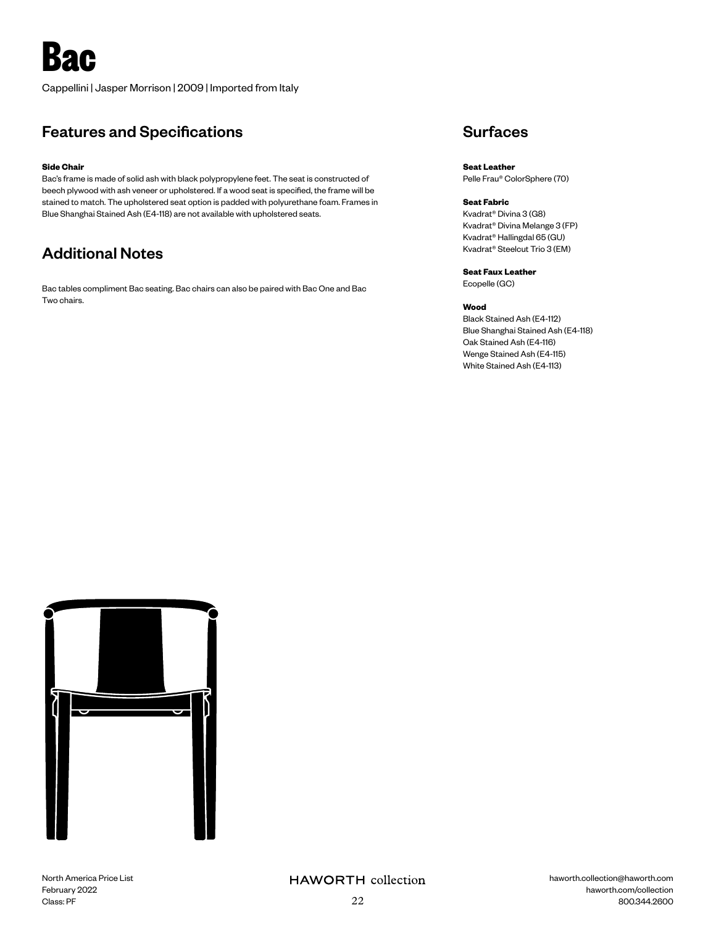# **Bac**

Cappellini | Jasper Morrison | 2009 | Imported from Italy

## Features and Specifications

### **Side Chair**

Bac's frame is made of solid ash with black polypropylene feet. The seat is constructed of beech plywood with ash veneer or upholstered. If a wood seat is specified, the frame will be stained to match. The upholstered seat option is padded with polyurethane foam. Frames in Blue Shanghai Stained Ash (E4-118) are not available with upholstered seats.

## Additional Notes

Bac tables compliment Bac seating. Bac chairs can also be paired with Bac One and Bac Two chairs.

## **Surfaces**

**Seat Leather** Pelle Frau® ColorSphere (70)

### **Seat Fabric**

Kvadrat® Divina 3 (G8) Kvadrat® Divina Melange 3 (FP) Kvadrat® Hallingdal 65 (GU) Kvadrat® Steelcut Trio 3 (EM)

**Seat Faux Leather** Ecopelle (GC)

### **Wood**

Black Stained Ash (E4-112) Blue Shanghai Stained Ash (E4-118) Oak Stained Ash (E4-116) Wenge Stained Ash (E4-115) White Stained Ash (E4-113)